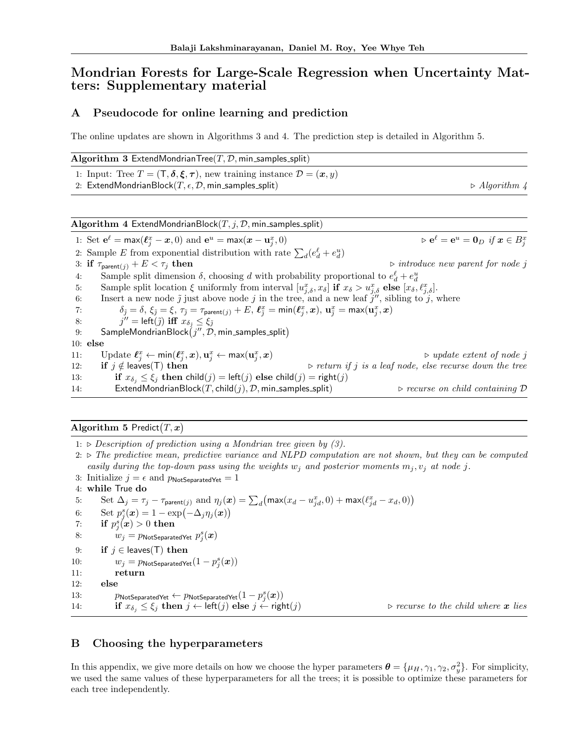# Mondrian Forests for Large-Scale Regression when Uncertainty Matters: Supplementary material

## A Pseudocode for online learning and prediction

The online updates are shown in Algorithms 3 and 4. The prediction step is detailed in Algorithm 5.

| Algorithm 3 ExtendMondrianTree(T, $\mathcal{D}$ , min_samples_split)                                                                                                                                                                   |                                                                         |
|----------------------------------------------------------------------------------------------------------------------------------------------------------------------------------------------------------------------------------------|-------------------------------------------------------------------------|
| 1: Input: Tree $T = (\mathsf{T}, \delta, \xi, \tau)$ , new training instance $\mathcal{D} = (\mathbf{x}, y)$                                                                                                                           |                                                                         |
| 2: ExtendMondrianBlock $(T, \epsilon, \mathcal{D}, \text{min\_samples\_split})$                                                                                                                                                        | $\triangleright$ Algorithm 4                                            |
|                                                                                                                                                                                                                                        |                                                                         |
| Algorithm 4 ExtendMondrianBlock $(T, j, \mathcal{D}, \mathsf{min}\_$ samples_split)                                                                                                                                                    |                                                                         |
| 1: Set $\mathbf{e}^{\ell} = \max(\ell_{i}^{x} - x, 0)$ and $\mathbf{e}^{u} = \max(x - \mathbf{u}_{i}^{x}, 0)$                                                                                                                          | $\triangleright$ $e^{\ell} = e^u = 0_D$ if $x \in B_i^x$                |
| 2: Sample E from exponential distribution with rate $\sum_d (e_d^{\ell} + e_d^{\mu})$                                                                                                                                                  |                                                                         |
| 3: if $\tau_{\text{parent}(i)} + E < \tau_i$ then                                                                                                                                                                                      | $\triangleright$ introduce new parent for node j                        |
| Sample split dimension $\delta$ , choosing d with probability proportional to $e^{\ell}_d + e^{\mu}_d$<br>4:                                                                                                                           |                                                                         |
| Sample split location $\xi$ uniformly from interval $[u_{i,\delta}^x, x_{\delta}]$ if $x_{\delta} > u_{i,\delta}^x$ else $[x_{\delta}, \ell_{i,\delta}^x]$ .<br>5:                                                                     |                                                                         |
| Insert a new node $\tilde{j}$ just above node $j$ in the tree, and a new leaf $j''$ , sibling to $j$ , where<br>6:                                                                                                                     |                                                                         |
| $\delta_{\tilde{j}} = \delta$ , $\xi_{\tilde{j}} = \xi$ , $\tau_{\tilde{j}} = \tau_{\text{parent}(j)} + E$ , $\ell_{\tilde{j}}^x = \min(\ell_{\tilde{j}}^x, x)$ , $\mathbf{u}_{\tilde{j}}^x = \max(\mathbf{u}_{\tilde{j}}^x, x)$<br>7: |                                                                         |
| $j'' = \text{left}(\tilde{j})$ iff $x_{\delta_{\tilde{\tau}}} \leq \xi_{\tilde{\tau}}$<br>8:                                                                                                                                           |                                                                         |
| SampleMondrianBlock $(j'', \mathcal{D}, \text{min\_samples\_split})$<br>9:                                                                                                                                                             |                                                                         |
| $10:$ else                                                                                                                                                                                                                             |                                                                         |
| Update $\ell_i^x \leftarrow \min(\ell_i^x, x), \mathbf{u}_i^x \leftarrow \max(\mathbf{u}_i^x, x)$<br>11:                                                                                                                               | $\triangleright$ update extent of node j                                |
| if $j \notin$ leaves(T) then<br>12:                                                                                                                                                                                                    | $\triangleright$ return if j is a leaf node, else recurse down the tree |
| if $x_{\delta_i} \leq \xi_j$ then child(j) = left(j) else child(j) = right(j)<br>13:                                                                                                                                                   |                                                                         |
| ExtendMondrianBlock $(T, \text{child}(i), \mathcal{D}, \text{min\_samples\_split})$<br>14:                                                                                                                                             | $\triangleright$ recurse on child containing $\mathcal D$               |

### Algorithm 5 Predict $(T, x)$

1:  $\triangleright$  *Description of prediction using a Mondrian tree given by (3).* 

2:  $\triangleright$  The predictive mean, predictive variance and NLPD computation are not shown, but they can be computed *easily during the top-down pass using the weights*  $w_j$  and posterior moments  $m_j, v_j$  at node *j*.

3: Initialize  $j = \epsilon$  and  $p_{\text{NotSeparatedYet}} = 1$ 4: while True do 5: Set  $\Delta_j = \tau_j - \tau_{\text{parent}(j)}$  and  $\eta_j(\boldsymbol{x}) = \sum_d \big( \max(x_d - u_{jd}^x, 0) + \max(\ell_{jd}^x - x_d, 0) \big)$ 6: Set  $p_j^s(\boldsymbol{x}) = 1 - \exp(-\Delta_j \eta_j(\boldsymbol{x}))$ 7: if  $p_j^s(x) > 0$  then 8:  $w_j = p_{\text{NotSeparatedNet}} p_j^s(\boldsymbol{x})$ 9: **if**  $j \in \text{leaves}(T)$  **then**<br>10:  $w_j = p_{\text{NotS}$  eparated Ye 10:  $w_j = p_{\text{NotSeparatedNet}}(1 - p_j^s(\boldsymbol{x}))$ 11: return 12: else 13: *P*NotSeparatedYet  $\leftarrow p$ NotSeparatedYet $(1 - p_j^s(\boldsymbol{x}))$ 14: **if**  $x_{\delta_j} \leq \xi_j$  then  $j \leftarrow \text{left}(j)$  else  $j \leftarrow \text{right}(j)$  .  $\triangleright$  *recurse to the child where x lies* 

#### B Choosing the hyperparameters

In this appendix, we give more details on how we choose the hyper parameters  $\boldsymbol{\theta} = {\mu_H, \gamma_1, \gamma_2, \sigma_y^2}$ . For simplicity, we used the same values of these hyperparameters for all the trees; it is possible to optimize these parameters for each tree independently.